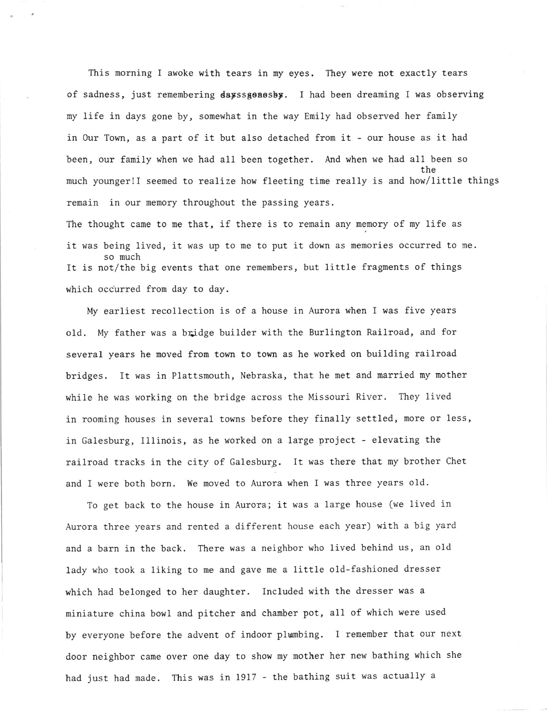This morning I awoke with tears in my eyes. They were not exactly tears of sadness, just renenbering dayssgonesby. I had been dreaming I was observing my life in days gone by, sonewhat in the way Enily had observed her fanily in Our Town, as a part of it but also detached fron it - our house as it had been, our family when we had all been together. And when we had all been so the nuch younger!I seened to realize how fleeting time really is and how/little things remain in our memory throughout the passing years.

The thought came to me that, if there is to remain any memory of my life as it was being lived, it was up to ne to put it down as nemories occurred to ne. so nuch It is not/the big events that one renembers, but little fragments of things which occurred fron day to day.

My earliest recollection is of a house in Aurora when I was five years old. My father was a bridge builder with the Burlington Railroad, and for several years he noved from town to town as he worked on building railroad bridges. It was in Plattsmouth, Nebraska, that he met and married my mother while he was working on the bridge across the Missouri River. They lived in rooming houses in several towns before they finally settled, more or less, in Galesburg, I11inois, as he worked on a large project - elevating the railroad tracks in the city of Galesburg. It was there that my brother Chet and I were both born. We noved to Aurora when I was three years o1d.

To get back to the house in Aurora; it was a large house (we lived in Aurora three years and rented a different house each year) with a big yard and a barn in the back. There was a neighbor who lived behlnd us, an old lady who took a liking to me and gave me a little old-fashioned dresser which had belonged to her daughter. Included with the dresser was a niniature china bowl and pitcher and chamber pot, all of which were used by everyone before the advent of indoor plumbing. I remember that our next door neighbor came over one day to show my nother her new bathing which she had just had nade. This was in 1917 - the bathing suit was actually a